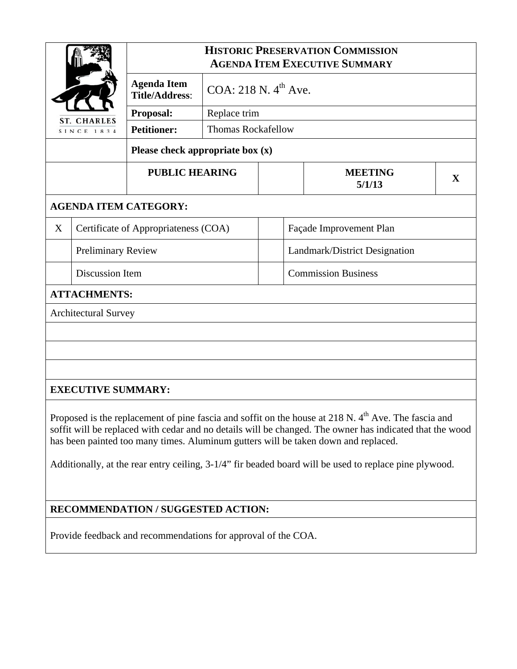| <b>ST. CHARLES</b><br>SINCE 1834 |                             | <b>HISTORIC PRESERVATION COMMISSION</b><br><b>AGENDA ITEM EXECUTIVE SUMMARY</b> |                           |  |                               |                                                                                                                                                                                                                                                                                                                    |   |  |
|----------------------------------|-----------------------------|---------------------------------------------------------------------------------|---------------------------|--|-------------------------------|--------------------------------------------------------------------------------------------------------------------------------------------------------------------------------------------------------------------------------------------------------------------------------------------------------------------|---|--|
|                                  |                             | <b>Agenda Item</b><br><b>Title/Address:</b>                                     | COA: 218 N. $4^{th}$ Ave. |  |                               |                                                                                                                                                                                                                                                                                                                    |   |  |
|                                  |                             | Proposal:                                                                       | Replace trim              |  |                               |                                                                                                                                                                                                                                                                                                                    |   |  |
|                                  |                             | <b>Petitioner:</b>                                                              | <b>Thomas Rockafellow</b> |  |                               |                                                                                                                                                                                                                                                                                                                    |   |  |
|                                  |                             | Please check appropriate box $(x)$                                              |                           |  |                               |                                                                                                                                                                                                                                                                                                                    |   |  |
|                                  |                             | <b>PUBLIC HEARING</b>                                                           |                           |  | <b>MEETING</b><br>5/1/13      |                                                                                                                                                                                                                                                                                                                    | X |  |
|                                  |                             | <b>AGENDA ITEM CATEGORY:</b>                                                    |                           |  |                               |                                                                                                                                                                                                                                                                                                                    |   |  |
| X                                |                             | Certificate of Appropriateness (COA)                                            |                           |  | Façade Improvement Plan       |                                                                                                                                                                                                                                                                                                                    |   |  |
|                                  |                             | <b>Preliminary Review</b>                                                       |                           |  | Landmark/District Designation |                                                                                                                                                                                                                                                                                                                    |   |  |
| Discussion Item                  |                             |                                                                                 |                           |  | <b>Commission Business</b>    |                                                                                                                                                                                                                                                                                                                    |   |  |
| <b>ATTACHMENTS:</b>              |                             |                                                                                 |                           |  |                               |                                                                                                                                                                                                                                                                                                                    |   |  |
|                                  | <b>Architectural Survey</b> |                                                                                 |                           |  |                               |                                                                                                                                                                                                                                                                                                                    |   |  |
|                                  |                             |                                                                                 |                           |  |                               |                                                                                                                                                                                                                                                                                                                    |   |  |
|                                  |                             |                                                                                 |                           |  |                               |                                                                                                                                                                                                                                                                                                                    |   |  |
|                                  |                             |                                                                                 |                           |  |                               |                                                                                                                                                                                                                                                                                                                    |   |  |
|                                  | <b>EXECUTIVE SUMMARY:</b>   |                                                                                 |                           |  |                               |                                                                                                                                                                                                                                                                                                                    |   |  |
|                                  |                             |                                                                                 |                           |  |                               |                                                                                                                                                                                                                                                                                                                    |   |  |
|                                  |                             |                                                                                 |                           |  |                               | Proposed is the replacement of pine fascia and soffit on the house at 218 N. 4 <sup>th</sup> Ave. The fascia and<br>soffit will be replaced with cedar and no details will be changed. The owner has indicated that the wood<br>has been painted too many times. Aluminum gutters will be taken down and replaced. |   |  |
|                                  |                             |                                                                                 |                           |  |                               | Additionally, at the rear entry ceiling, 3-1/4" fir beaded board will be used to replace pine plywood.                                                                                                                                                                                                             |   |  |
|                                  |                             | RECOMMENDATION / SUGGESTED ACTION:                                              |                           |  |                               |                                                                                                                                                                                                                                                                                                                    |   |  |

Provide feedback and recommendations for approval of the COA.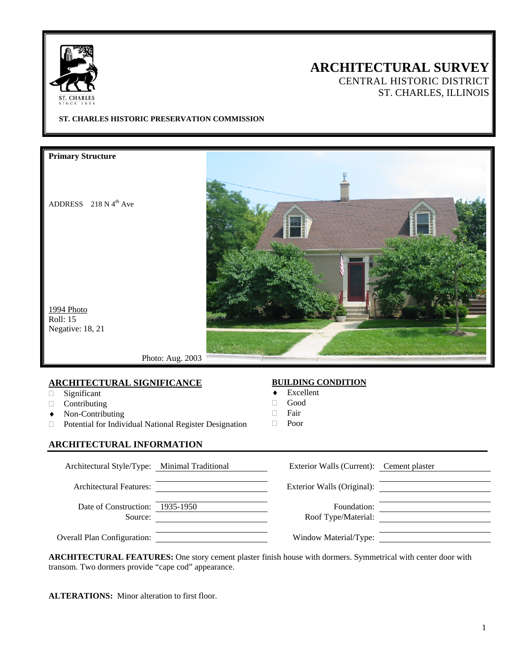

# **ARCHITECTURAL SURVEY**

CENTRAL HISTORIC DISTRICT ST. CHARLES, ILLINOIS

### **ST. CHARLES HISTORIC PRESERVATION COMMISSION**

#### **Primary Structure**

ADDRESS  $218 N 4<sup>th</sup> Ave$ 

1994 Photo Roll: 15 Negative: 18, 21

Photo: Aug. 2003

# **ARCHITECTURAL SIGNIFICANCE**

- Significant
- **Contributing**
- Non-Contributing
- Potential for Individual National Register Designation

# **ARCHITECTURAL INFORMATION**

# **BUILDING CONDITION**

- ◆ Excellent
- Good
- Fair
- Poor

| Architectural Style/Type: Minimal Traditional |           | Exterior Walls (Current): Cement plaster |  |
|-----------------------------------------------|-----------|------------------------------------------|--|
| <b>Architectural Features:</b>                |           | Exterior Walls (Original):               |  |
| Date of Construction:<br>Source:              | 1935-1950 | Foundation:<br>Roof Type/Material:       |  |
| <b>Overall Plan Configuration:</b>            |           | Window Material/Type:                    |  |

**ARCHITECTURAL FEATURES:** One story cement plaster finish house with dormers. Symmetrical with center door with transom. Two dormers provide "cape cod" appearance.

**ALTERATIONS:** Minor alteration to first floor.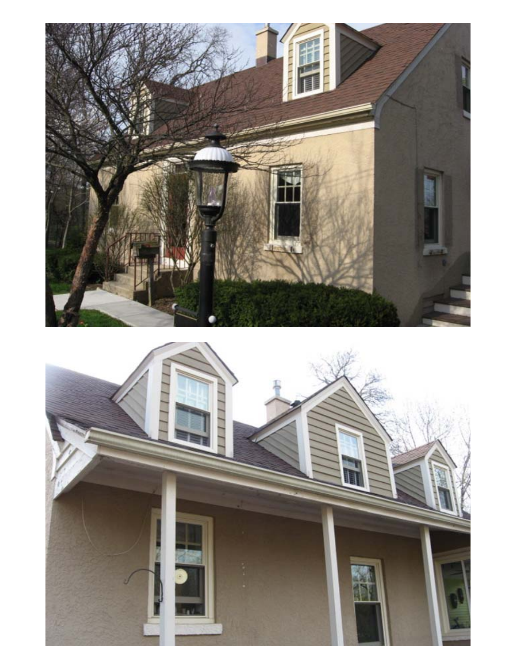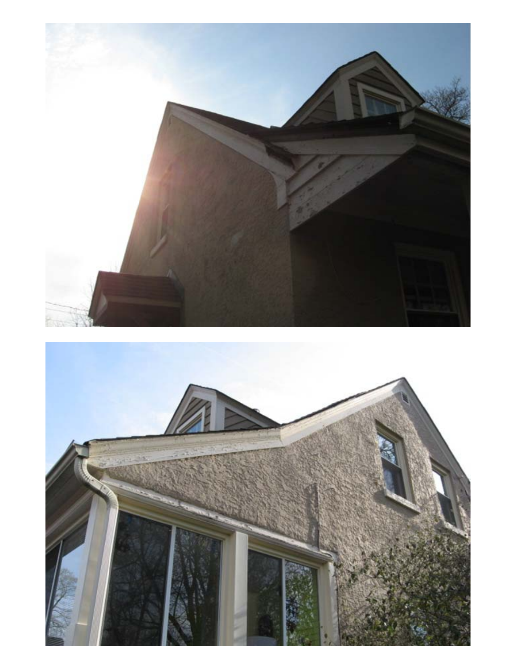